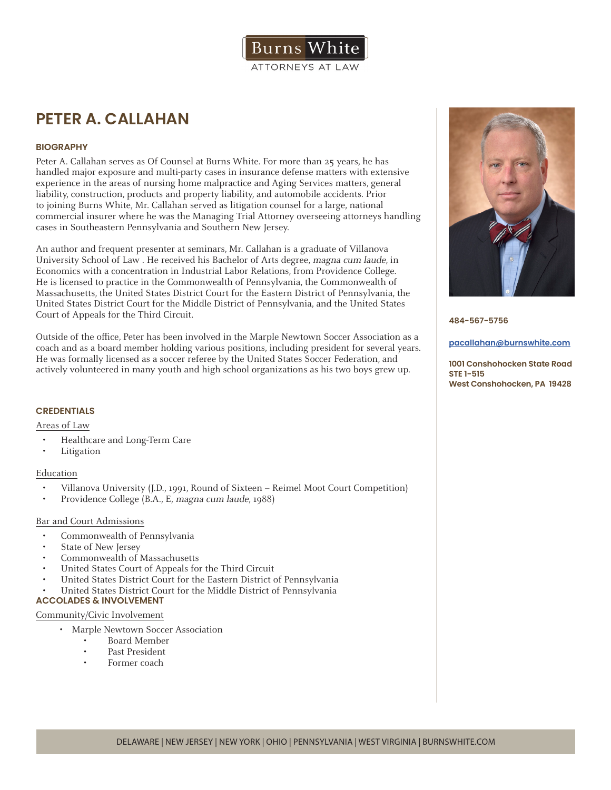

# **PETER A. CALLAHAN**

# **BIOGRAPHY**

Peter A. Callahan serves as Of Counsel at Burns White. For more than 25 years, he has handled major exposure and multi-party cases in insurance defense matters with extensive experience in the areas of nursing home malpractice and Aging Services matters, general liability, construction, products and property liability, and automobile accidents. Prior to joining Burns White, Mr. Callahan served as litigation counsel for a large, national commercial insurer where he was the Managing Trial Attorney overseeing attorneys handling cases in Southeastern Pennsylvania and Southern New Jersey.

An author and frequent presenter at seminars, Mr. Callahan is a graduate of Villanova University School of Law . He received his Bachelor of Arts degree, magna cum laude, in Economics with a concentration in Industrial Labor Relations, from Providence College. He is licensed to practice in the Commonwealth of Pennsylvania, the Commonwealth of Massachusetts, the United States District Court for the Eastern District of Pennsylvania, the United States District Court for the Middle District of Pennsylvania, and the United States Court of Appeals for the Third Circuit.

Outside of the office, Peter has been involved in the Marple Newtown Soccer Association as a coach and as a board member holding various positions, including president for several years. He was formally licensed as a soccer referee by the United States Soccer Federation, and actively volunteered in many youth and high school organizations as his two boys grew up.

# **CREDENTIALS**

Areas of Law

- Healthcare and Long-Term Care
- **Litigation**

# Education

- Villanova University (J.D., 1991, Round of Sixteen Reimel Moot Court Competition)
- Providence College (B.A., E, magna cum laude, 1988)

# Bar and Court Admissions

- Commonwealth of Pennsylvania
- State of New Jersey
- Commonwealth of Massachusetts
- United States Court of Appeals for the Third Circuit
- United States District Court for the Eastern District of Pennsylvania
- United States District Court for the Middle District of Pennsylvania

# **ACCOLADES & INVOLVEMENT**

## Community/Civic Involvement

- Marple Newtown Soccer Association
	- Board Member
	- Past President
	- Former coach



**484-567-5756**

#### **pacallahan@burnswhite.com**

**1001 Conshohocken State Road STE 1-515 West Conshohocken, PA 19428**